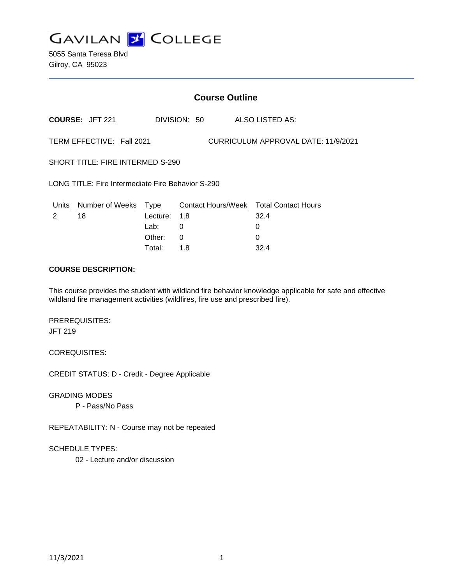

5055 Santa Teresa Blvd Gilroy, CA 95023

|                                                                  | <b>Course Outline</b>      |          |              |  |                                        |
|------------------------------------------------------------------|----------------------------|----------|--------------|--|----------------------------------------|
|                                                                  | <b>COURSE: JFT 221</b>     |          | DIVISION: 50 |  | ALSO LISTED AS:                        |
| TERM EFFECTIVE: Fall 2021<br>CURRICULUM APPROVAL DATE: 11/9/2021 |                            |          |              |  |                                        |
| <b>SHORT TITLE: FIRE INTERMED S-290</b>                          |                            |          |              |  |                                        |
| LONG TITLE: Fire Intermediate Fire Behavior S-290                |                            |          |              |  |                                        |
|                                                                  | Units Number of Weeks Type |          |              |  | Contact Hours/Week Total Contact Hours |
| $\mathcal{P}$                                                    | 18                         | Lecture: | 1.8          |  | 32.4                                   |
|                                                                  |                            | Lab:     | 0            |  | 0                                      |
|                                                                  |                            | Other:   | 0            |  | $\Omega$                               |
|                                                                  |                            | Total:   | 1.8          |  | 32.4                                   |

#### **COURSE DESCRIPTION:**

This course provides the student with wildland fire behavior knowledge applicable for safe and effective wildland fire management activities (wildfires, fire use and prescribed fire).

PREREQUISITES: JFT 219

COREQUISITES:

CREDIT STATUS: D - Credit - Degree Applicable

GRADING MODES

P - Pass/No Pass

REPEATABILITY: N - Course may not be repeated

SCHEDULE TYPES:

02 - Lecture and/or discussion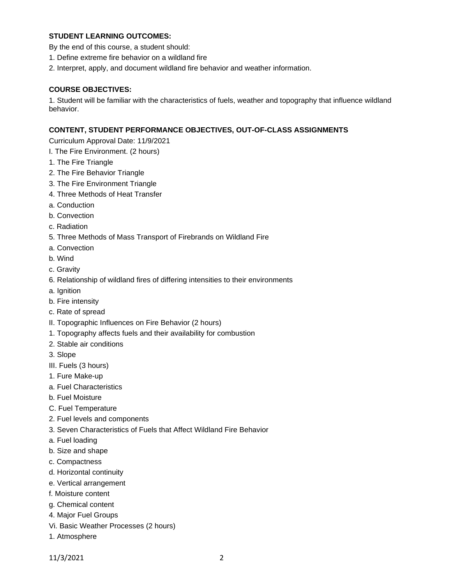## **STUDENT LEARNING OUTCOMES:**

- By the end of this course, a student should:
- 1. Define extreme fire behavior on a wildland fire
- 2. Interpret, apply, and document wildland fire behavior and weather information.

#### **COURSE OBJECTIVES:**

1. Student will be familiar with the characteristics of fuels, weather and topography that influence wildland behavior.

#### **CONTENT, STUDENT PERFORMANCE OBJECTIVES, OUT-OF-CLASS ASSIGNMENTS**

Curriculum Approval Date: 11/9/2021

I. The Fire Environment. (2 hours)

- 1. The Fire Triangle
- 2. The Fire Behavior Triangle
- 3. The Fire Environment Triangle
- 4. Three Methods of Heat Transfer
- a. Conduction
- b. Convection
- c. Radiation
- 5. Three Methods of Mass Transport of Firebrands on Wildland Fire
- a. Convection
- b. Wind
- c. Gravity
- 6. Relationship of wildland fires of differing intensities to their environments
- a. Ignition
- b. Fire intensity
- c. Rate of spread
- II. Topographic Influences on Fire Behavior (2 hours)
- 1. Topography affects fuels and their availability for combustion
- 2. Stable air conditions
- 3. Slope
- III. Fuels (3 hours)
- 1. Fure Make-up
- a. Fuel Characteristics
- b. Fuel Moisture
- C. Fuel Temperature
- 2. Fuel levels and components
- 3. Seven Characteristics of Fuels that Affect Wildland Fire Behavior
- a. Fuel loading
- b. Size and shape
- c. Compactness
- d. Horizontal continuity
- e. Vertical arrangement
- f. Moisture content
- g. Chemical content
- 4. Major Fuel Groups
- Vi. Basic Weather Processes (2 hours)
- 1. Atmosphere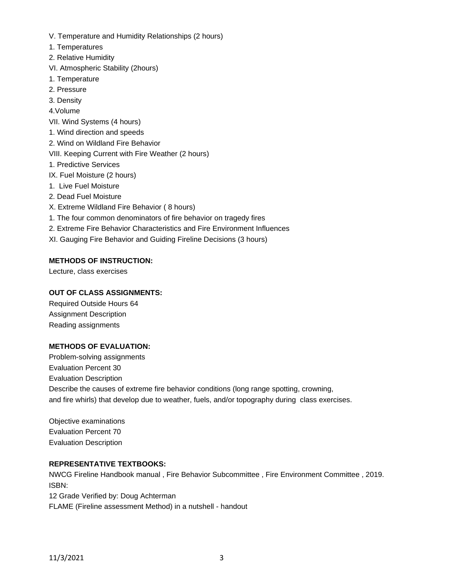- V. Temperature and Humidity Relationships (2 hours)
- 1. Temperatures
- 2. Relative Humidity
- VI. Atmospheric Stability (2hours)
- 1. Temperature
- 2. Pressure
- 3. Density
- 4.Volume
- VII. Wind Systems (4 hours)
- 1. Wind direction and speeds
- 2. Wind on Wildland Fire Behavior
- VIII. Keeping Current with Fire Weather (2 hours)
- 1. Predictive Services
- IX. Fuel Moisture (2 hours)
- 1. Live Fuel Moisture
- 2. Dead Fuel Moisture
- X. Extreme Wildland Fire Behavior ( 8 hours)
- 1. The four common denominators of fire behavior on tragedy fires
- 2. Extreme Fire Behavior Characteristics and Fire Environment Influences
- XI. Gauging Fire Behavior and Guiding Fireline Decisions (3 hours)

# **METHODS OF INSTRUCTION:**

Lecture, class exercises

## **OUT OF CLASS ASSIGNMENTS:**

Required Outside Hours 64 Assignment Description Reading assignments

### **METHODS OF EVALUATION:**

Problem-solving assignments Evaluation Percent 30 Evaluation Description Describe the causes of extreme fire behavior conditions (long range spotting, crowning, and fire whirls) that develop due to weather, fuels, and/or topography during class exercises.

Objective examinations Evaluation Percent 70 Evaluation Description

### **REPRESENTATIVE TEXTBOOKS:**

NWCG Fireline Handbook manual , Fire Behavior Subcommittee , Fire Environment Committee , 2019. ISBN: 12 Grade Verified by: Doug Achterman FLAME (Fireline assessment Method) in a nutshell - handout